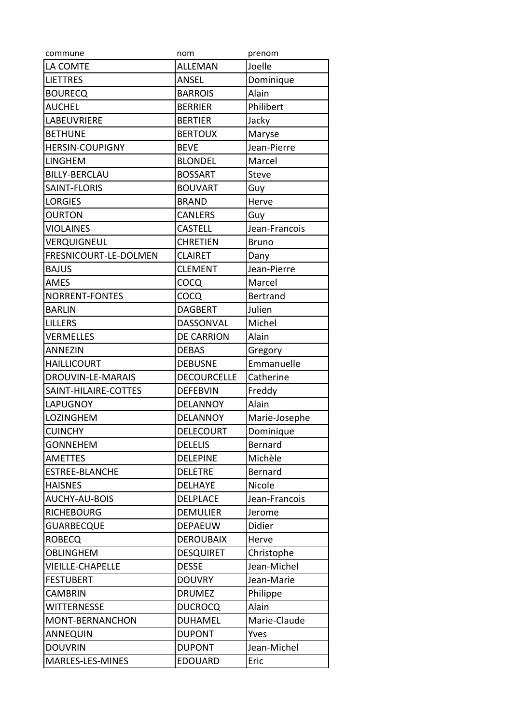| commune                 | nom                | prenom          |
|-------------------------|--------------------|-----------------|
| LA COMTE                | <b>ALLEMAN</b>     | Joelle          |
| <b>LIETTRES</b>         | ANSEL              | Dominique       |
| <b>BOURECQ</b>          | <b>BARROIS</b>     | Alain           |
| <b>AUCHEL</b>           | <b>BERRIER</b>     | Philibert       |
| LABEUVRIERE             | <b>BERTIER</b>     | Jacky           |
| <b>BETHUNE</b>          | <b>BERTOUX</b>     | Maryse          |
| <b>HERSIN-COUPIGNY</b>  | <b>BEVE</b>        | Jean-Pierre     |
| <b>LINGHEM</b>          | <b>BLONDEL</b>     | Marcel          |
| <b>BILLY-BERCLAU</b>    | <b>BOSSART</b>     | Steve           |
| SAINT-FLORIS            | <b>BOUVART</b>     | Guy             |
| <b>LORGIES</b>          | <b>BRAND</b>       | Herve           |
| <b>OURTON</b>           | <b>CANLERS</b>     | Guy             |
| <b>VIOLAINES</b>        | <b>CASTELL</b>     | Jean-Francois   |
| VERQUIGNEUL             | <b>CHRETIEN</b>    | <b>Bruno</b>    |
| FRESNICOURT-LE-DOLMEN   | <b>CLAIRET</b>     | Dany            |
| <b>BAJUS</b>            | <b>CLEMENT</b>     | Jean-Pierre     |
| <b>AMES</b>             | COCQ               | Marcel          |
| <b>NORRENT-FONTES</b>   | COCQ               | <b>Bertrand</b> |
| <b>BARLIN</b>           | <b>DAGBERT</b>     | Julien          |
| <b>LILLERS</b>          | DASSONVAL          | Michel          |
| <b>VERMELLES</b>        | <b>DE CARRION</b>  | Alain           |
| ANNEZIN                 | <b>DEBAS</b>       | Gregory         |
| <b>HAILLICOURT</b>      | <b>DEBUSNE</b>     | Emmanuelle      |
| DROUVIN-LE-MARAIS       | <b>DECOURCELLE</b> | Catherine       |
| SAINT-HILAIRE-COTTES    | <b>DEFEBVIN</b>    | Freddy          |
| <b>LAPUGNOY</b>         | <b>DELANNOY</b>    | Alain           |
| LOZINGHEM               | <b>DELANNOY</b>    | Marie-Josephe   |
| <b>CUINCHY</b>          | <b>DELECOURT</b>   | Dominique       |
| <b>GONNEHEM</b>         | <b>DELELIS</b>     | Bernard         |
| <b>AMETTES</b>          | <b>DELEPINE</b>    | Michèle         |
| <b>ESTREE-BLANCHE</b>   | <b>DELETRE</b>     | <b>Bernard</b>  |
| <b>HAISNES</b>          | <b>DELHAYE</b>     | Nicole          |
| AUCHY-AU-BOIS           | <b>DELPLACE</b>    | Jean-Francois   |
| <b>RICHEBOURG</b>       | <b>DEMULIER</b>    | Jerome          |
| GUARBECQUE              | <b>DEPAEUW</b>     | Didier          |
| <b>ROBECQ</b>           | <b>DEROUBAIX</b>   | Herve           |
| <b>OBLINGHEM</b>        | <b>DESQUIRET</b>   | Christophe      |
| <b>VIEILLE-CHAPELLE</b> | <b>DESSE</b>       | Jean-Michel     |
| <b>FESTUBERT</b>        | <b>DOUVRY</b>      | Jean-Marie      |
| <b>CAMBRIN</b>          | <b>DRUMEZ</b>      | Philippe        |
| <b>WITTERNESSE</b>      | <b>DUCROCQ</b>     | Alain           |
| MONT-BERNANCHON         | <b>DUHAMEL</b>     | Marie-Claude    |
| <b>ANNEQUIN</b>         | <b>DUPONT</b>      | Yves            |
| <b>DOUVRIN</b>          | <b>DUPONT</b>      | Jean-Michel     |
| MARLES-LES-MINES        | <b>EDOUARD</b>     | Eric            |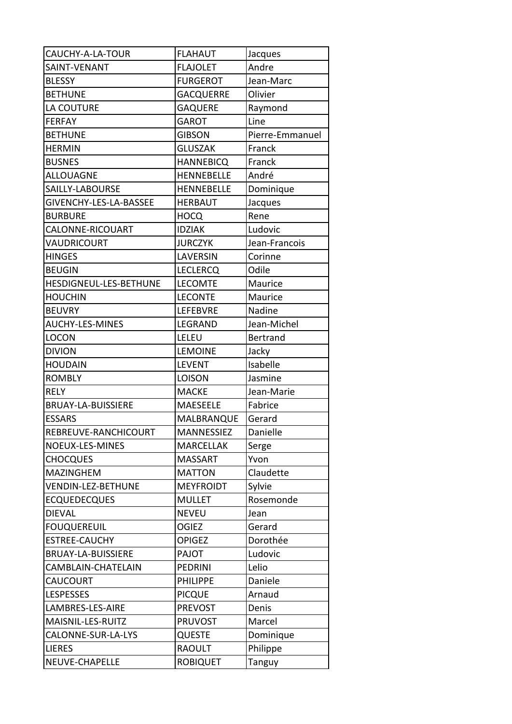| CAUCHY-A-LA-TOUR          | <b>FLAHAUT</b>    | Jacques         |
|---------------------------|-------------------|-----------------|
| SAINT-VENANT              | <b>FLAJOLET</b>   | Andre           |
| <b>BLESSY</b>             | <b>FURGEROT</b>   | Jean-Marc       |
| <b>BETHUNE</b>            | <b>GACQUERRE</b>  | Olivier         |
| LA COUTURE                | <b>GAQUERE</b>    | Raymond         |
| <b>FERFAY</b>             | <b>GAROT</b>      | Line            |
| <b>BETHUNE</b>            | <b>GIBSON</b>     | Pierre-Emmanuel |
| <b>HERMIN</b>             | <b>GLUSZAK</b>    | Franck          |
| <b>BUSNES</b>             | <b>HANNEBICQ</b>  | Franck          |
| <b>ALLOUAGNE</b>          | <b>HENNEBELLE</b> | André           |
| SAILLY-LABOURSE           | <b>HENNEBELLE</b> | Dominique       |
| GIVENCHY-LES-LA-BASSEE    | HERBAUT           | Jacques         |
| <b>BURBURE</b>            | HOCQ              | Rene            |
| CALONNE-RICOUART          | <b>IDZIAK</b>     | Ludovic         |
| VAUDRICOURT               | <b>JURCZYK</b>    | Jean-Francois   |
| <b>HINGES</b>             | LAVERSIN          | Corinne         |
| <b>BEUGIN</b>             | <b>LECLERCQ</b>   | Odile           |
| HESDIGNEUL-LES-BETHUNE    | <b>LECOMTE</b>    | Maurice         |
| <b>HOUCHIN</b>            | <b>LECONTE</b>    | Maurice         |
| <b>BEUVRY</b>             | LEFEBVRE          | Nadine          |
| <b>AUCHY-LES-MINES</b>    | LEGRAND           | Jean-Michel     |
| <b>LOCON</b>              | LELEU             | <b>Bertrand</b> |
| <b>DIVION</b>             | <b>LEMOINE</b>    | Jacky           |
| <b>HOUDAIN</b>            | <b>LEVENT</b>     | Isabelle        |
| <b>ROMBLY</b>             | <b>LOISON</b>     | Jasmine         |
| <b>RELY</b>               | <b>MACKE</b>      | Jean-Marie      |
| <b>BRUAY-LA-BUISSIERE</b> | <b>MAESEELE</b>   | Fabrice         |
| <b>ESSARS</b>             | MALBRANQUE        | Gerard          |
| REBREUVE-RANCHICOURT      | MANNESSIEZ        | Danielle        |
| NOEUX-LES-MINES           | <b>MARCELLAK</b>  | Serge           |
| <b>CHOCQUES</b>           | <b>MASSART</b>    | Yvon            |
| <b>MAZINGHEM</b>          | <b>MATTON</b>     | Claudette       |
| <b>VENDIN-LEZ-BETHUNE</b> | <b>MEYFROIDT</b>  | Sylvie          |
| <b>ECQUEDECQUES</b>       | <b>MULLET</b>     | Rosemonde       |
| <b>DIEVAL</b>             | <b>NEVEU</b>      | Jean            |
| <b>FOUQUEREUIL</b>        | <b>OGIEZ</b>      | Gerard          |
| <b>ESTREE-CAUCHY</b>      | <b>OPIGEZ</b>     | Dorothée        |
| BRUAY-LA-BUISSIERE        | PAJOT             | Ludovic         |
| CAMBLAIN-CHATELAIN        | <b>PEDRINI</b>    | Lelio           |
| <b>CAUCOURT</b>           | <b>PHILIPPE</b>   | Daniele         |
| <b>LESPESSES</b>          | <b>PICQUE</b>     | Arnaud          |
| LAMBRES-LES-AIRE          | <b>PREVOST</b>    | Denis           |
| MAISNIL-LES-RUITZ         | <b>PRUVOST</b>    | Marcel          |
| CALONNE-SUR-LA-LYS        | QUESTE            | Dominique       |
| <b>LIERES</b>             | <b>RAOULT</b>     | Philippe        |
| NEUVE-CHAPELLE            | <b>ROBIQUET</b>   | Tanguy          |